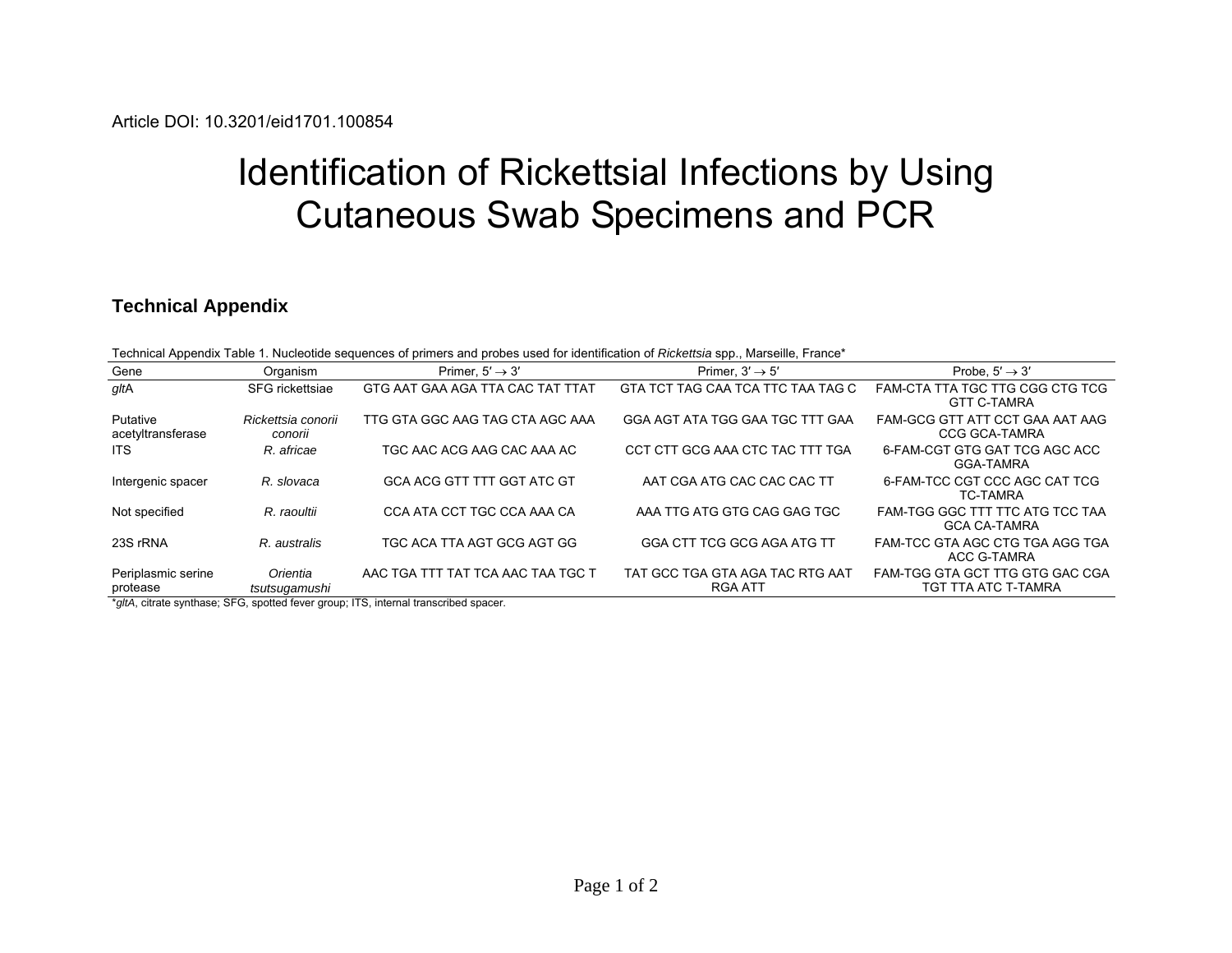## Identification of Rickettsial Infections by Using Cutaneous Swab Specimens and PCR

## **Technical Appendix**

| Technical Appendix Table 1. Nucleotide sequences of primers and probes used for identification of Rickettsia spp., Marseille, France* |  |  |  |
|---------------------------------------------------------------------------------------------------------------------------------------|--|--|--|
|                                                                                                                                       |  |  |  |
|                                                                                                                                       |  |  |  |

| Gene                           | Organism                      | Primer. $5' \rightarrow 3'$       | Primer. $3' \rightarrow 5'$                | Probe. $5' \rightarrow 3'$                              |
|--------------------------------|-------------------------------|-----------------------------------|--------------------------------------------|---------------------------------------------------------|
| gltA                           | SFG rickettsiae               | GTG AAT GAA AGA TTA CAC TAT TTAT  | GTA TCT TAG CAA TCA TTC TAA TAG C          | FAM-CTA TTA TGC TTG CGG CTG TCG<br><b>GTT C-TAMRA</b>   |
| Putative<br>acetyltransferase  | Rickettsia conorii<br>conorii | TTG GTA GGC AAG TAG CTA AGC AAA   | GGA AGT ATA TGG GAA TGC TTT GAA            | FAM-GCG GTT ATT CCT GAA AAT AAG<br><b>CCG GCA-TAMRA</b> |
| ITS.                           | R. africae                    | TGC AAC ACG AAG CAC AAA AC        | CCT CTT GCG AAA CTC TAC TTT TGA            | 6-FAM-CGT GTG GAT TCG AGC ACC<br>GGA-TAMRA              |
| Intergenic spacer              | R. slovaca                    | <b>GCA ACG GTT TTT GGT ATC GT</b> | AAT CGA ATG CAC CAC CAC TT                 | 6-FAM-TCC CGT CCC AGC CAT TCG<br><b>TC-TAMRA</b>        |
| Not specified                  | R. raoultii                   | CCA ATA CCT TGC CCA AAA CA        | AAA TTG ATG GTG CAG GAG TGC                | FAM-TGG GGC TTT TTC ATG TCC TAA<br><b>GCA CA-TAMRA</b>  |
| 23S rRNA                       | R. australis                  | TGC ACA TTA AGT GCG AGT GG        | GGA CTT TCG GCG AGA ATG TT                 | FAM-TCC GTA AGC CTG TGA AGG TGA<br>ACC G-TAMRA          |
| Periplasmic serine<br>protease | Orientia<br>tsutsugamushi     | AAC TGA TTT TAT TCA AAC TAA TGC T | TAT GCC TGA GTA AGA TAC RTG AAT<br>RGA ATT | FAM-TGG GTA GCT TTG GTG GAC CGA<br>TGT TTA ATC T-TAMRA  |

\**gltA*, citrate synthase; SFG, spotted fever group; ITS, internal transcribed spacer.